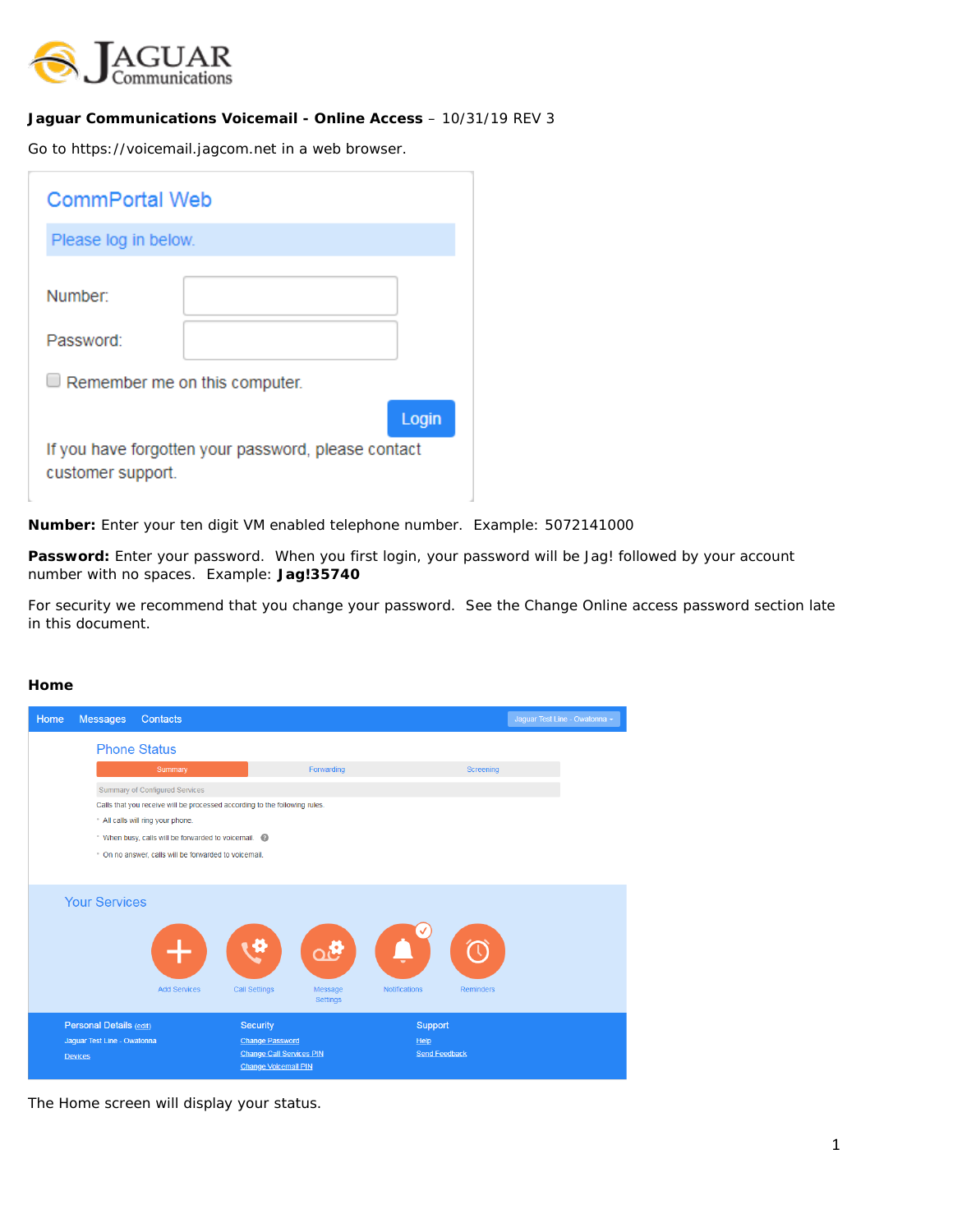

### **Jaguar Communications Voicemail - Online Access** – 10/31/19 REV 3

Go to https://voicemail.jagcom.net in a web browser.

| <b>CommPortal Web</b>                                                    |  |       |  |  |
|--------------------------------------------------------------------------|--|-------|--|--|
| Please log in below.                                                     |  |       |  |  |
| Number:                                                                  |  |       |  |  |
| Password:                                                                |  |       |  |  |
| $\Box$ Remember me on this computer.                                     |  |       |  |  |
|                                                                          |  | Login |  |  |
| If you have forgotten your password, please contact<br>customer support. |  |       |  |  |

**Number:** Enter your ten digit VM enabled telephone number. Example: 5072141000

Password: Enter your password. When you first login, your password will be Jag! followed by your account number with no spaces. Example: **Jag!35740**

For security we recommend that you change your password. See the Change Online access password section late in this document.

### **Home**

| Home | <b>Messages</b>             | <b>Contacts</b>                                                            |                                                           |                                  |                            |                  | Jaguar Test Line - Owatonna - |
|------|-----------------------------|----------------------------------------------------------------------------|-----------------------------------------------------------|----------------------------------|----------------------------|------------------|-------------------------------|
|      |                             | <b>Phone Status</b>                                                        |                                                           |                                  |                            |                  |                               |
|      |                             | Summary                                                                    |                                                           | Forwarding                       |                            | Screening        |                               |
|      |                             | Summary of Configured Services                                             |                                                           |                                  |                            |                  |                               |
|      |                             | Calls that you receive will be processed according to the following rules. |                                                           |                                  |                            |                  |                               |
|      |                             | * All calls will ring your phone.                                          |                                                           |                                  |                            |                  |                               |
|      |                             | When busy, calls will be forwarded to voicemail.                           |                                                           |                                  |                            |                  |                               |
|      |                             | * On no answer, calls will be forwarded to voicemail.                      |                                                           |                                  |                            |                  |                               |
|      |                             |                                                                            |                                                           |                                  |                            |                  |                               |
|      | <b>Your Services</b>        | <b>Add Services</b>                                                        | <b>Call Settings</b>                                      | λĜ<br>Message<br><b>Settings</b> | <b>Notifications</b>       | <b>Reminders</b> |                               |
|      | Personal Details (edit)     |                                                                            | <b>Security</b>                                           |                                  | Support                    |                  |                               |
|      | Jaguar Test Line - Owatonna |                                                                            | <b>Change Password</b><br><b>Change Call Services PIN</b> |                                  | He<br><b>Send Feedback</b> |                  |                               |
|      | <b>Devices</b>              |                                                                            | <b>Change Voicemail PIN</b>                               |                                  |                            |                  |                               |

The Home screen will display your status.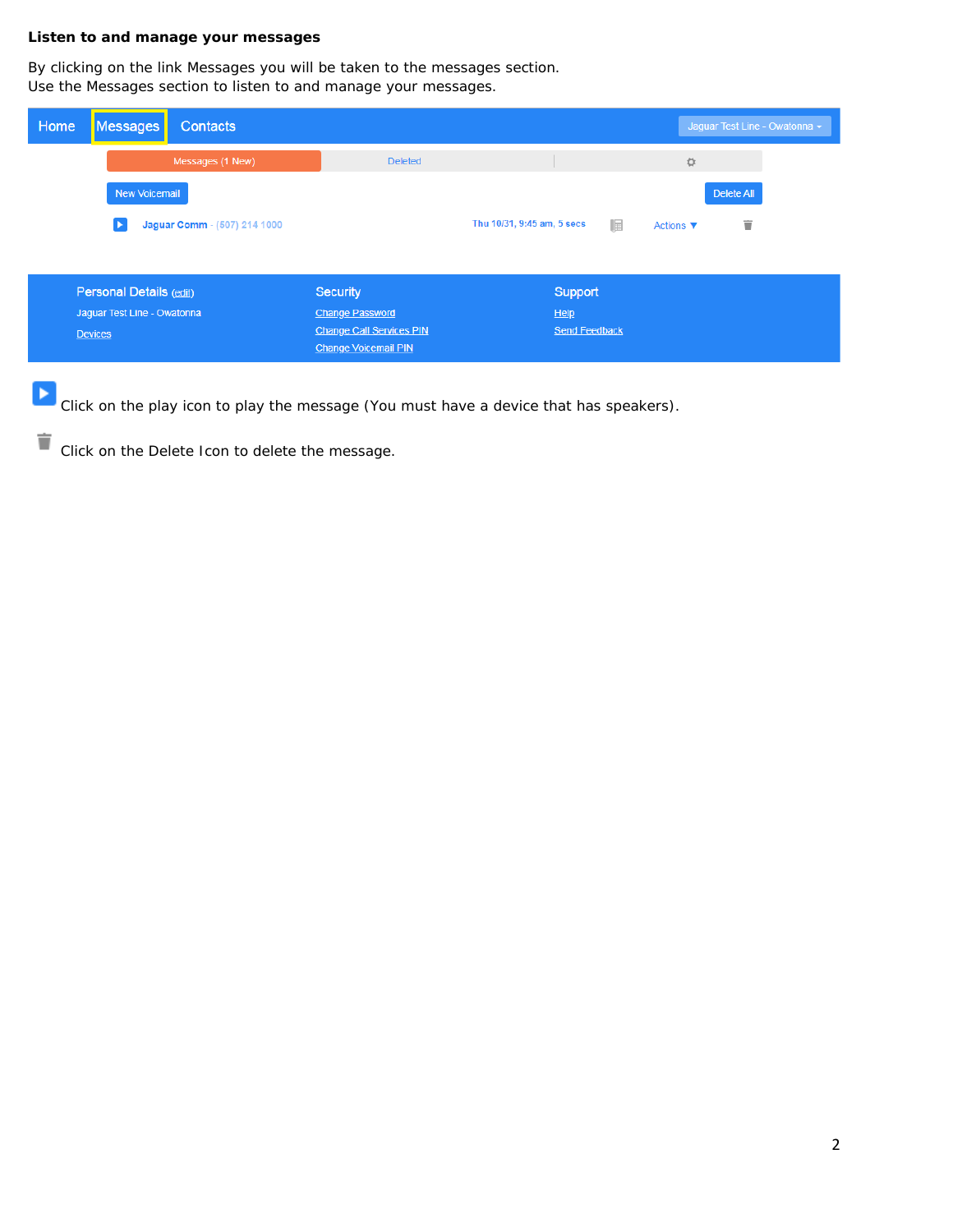## **Listen to and manage your messages**

By clicking on the link Messages you will be taken to the messages section. Use the Messages section to listen to and manage your messages.

| Home<br>Messages            | <b>Contacts</b>              |                                 |                                 | Jaguar Test Line - Owatonna -     |
|-----------------------------|------------------------------|---------------------------------|---------------------------------|-----------------------------------|
|                             | Messages (1 New)             | <b>Deleted</b>                  |                                 | ☆                                 |
| New Voicemail               |                              |                                 |                                 | Delete All                        |
|                             | Jaguar Comm - (507) 214 1000 |                                 | 匾<br>Thu 10/31, 9:45 am, 5 secs | Ť<br>Actions $\blacktriangledown$ |
|                             |                              |                                 |                                 |                                   |
| Personal Details (edit)     |                              | <b>Security</b>                 | Support                         |                                   |
| Jaguar Test Line - Owatonna |                              | <b>Change Password</b>          | He                              |                                   |
| <b>Devices</b>              |                              | <b>Change Call Services PIN</b> | <b>Send Feedback</b>            |                                   |
|                             |                              | <b>Change Voicemail PIN</b>     |                                 |                                   |

 $\blacktriangleright$ Click on the play icon to play the message (You must have a device that has speakers).

Click on the Delete Icon to delete the message.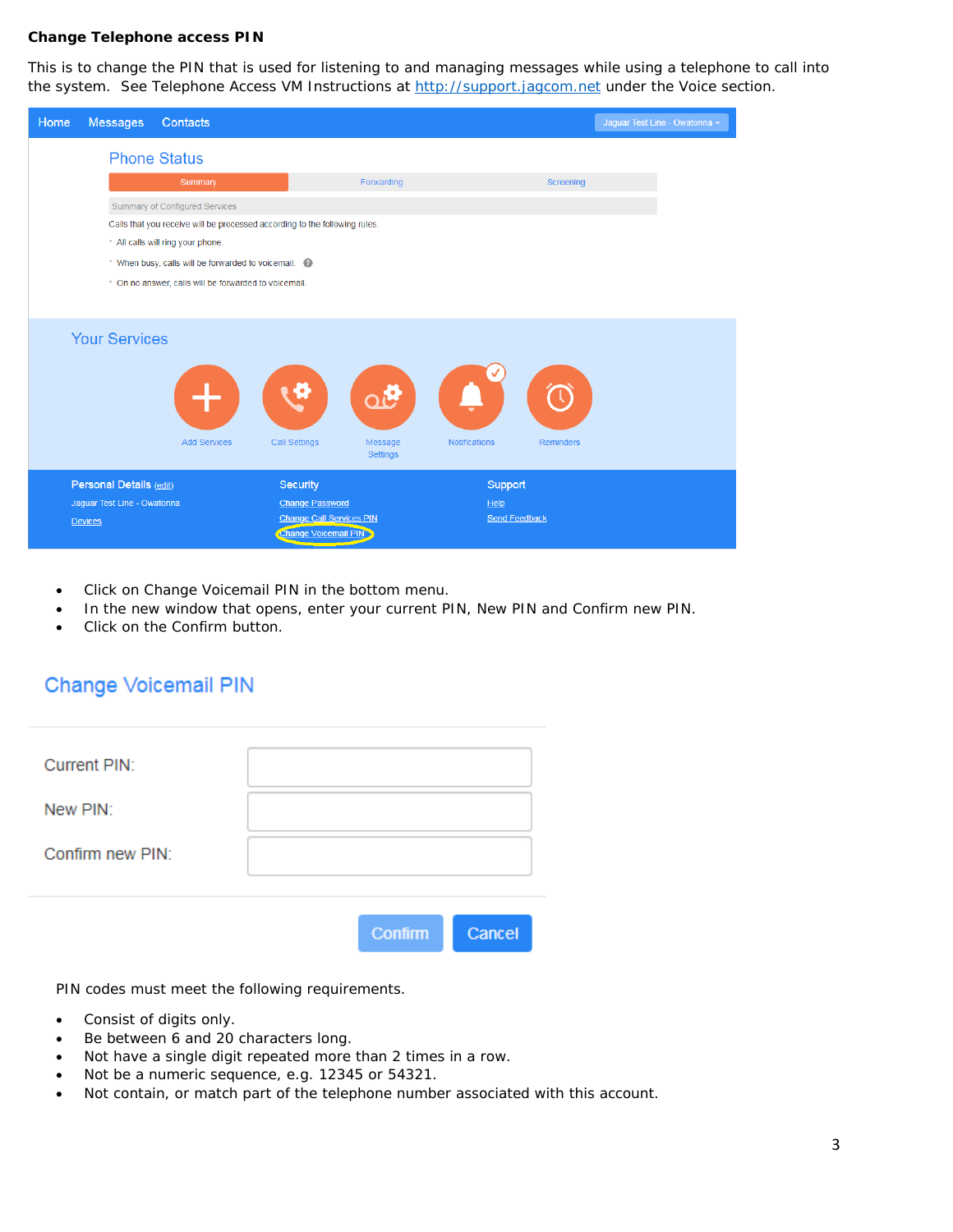### **Change Telephone access PIN**

This is to change the PIN that is used for listening to and managing messages while using a telephone to call into the system. See Telephone Access VM Instructions at [http://support.jagcom.net](http://support.jagcom.net/) under the Voice section.

| Home | <b>Messages</b>             | Contacts                                                                   |                                                                |                      |                      | Jaquar Test Line - Owatonna - |
|------|-----------------------------|----------------------------------------------------------------------------|----------------------------------------------------------------|----------------------|----------------------|-------------------------------|
|      |                             | <b>Phone Status</b>                                                        |                                                                |                      |                      |                               |
|      |                             | Summary                                                                    | Forwarding                                                     |                      | Screening            |                               |
|      |                             | Summary of Configured Services                                             |                                                                |                      |                      |                               |
|      |                             | Calls that you receive will be processed according to the following rules. |                                                                |                      |                      |                               |
|      |                             | All calls will ring your phone.                                            |                                                                |                      |                      |                               |
|      |                             | * When busy, calls will be forwarded to voicemail.                         |                                                                |                      |                      |                               |
|      |                             | . On no answer, calls will be forwarded to voicemail.                      |                                                                |                      |                      |                               |
|      |                             |                                                                            |                                                                |                      |                      |                               |
|      |                             |                                                                            |                                                                |                      |                      |                               |
|      | <b>Your Services</b>        |                                                                            |                                                                |                      |                      |                               |
|      |                             | <b>Add Services</b>                                                        | ø<br>ුලි<br><b>Call Settings</b><br>Message<br><b>Settings</b> | <b>Notifications</b> | <b>Reminders</b>     |                               |
|      | Personal Details (edit)     |                                                                            | Security                                                       |                      | Support              |                               |
|      | Jaguar Test Line - Owatonna |                                                                            | <b>Change Password</b>                                         |                      | He                   |                               |
|      | <b>Devices</b>              |                                                                            | <b>Change Call Services PIN</b>                                |                      | <b>Send Feedback</b> |                               |
|      |                             |                                                                            | Change Voicemail PIN                                           |                      |                      |                               |

- Click on Change Voicemail PIN in the bottom menu.
- In the new window that opens, enter your current PIN, New PIN and Confirm new PIN.
- Click on the Confirm button.

## Change Voicemail PIN

| Current PIN:     |                |        |
|------------------|----------------|--------|
| New PIN:         |                |        |
| Confirm new PIN: |                |        |
|                  |                |        |
|                  | <b>Confirm</b> | Cancel |

PIN codes must meet the following requirements.

- Consist of digits only.
- Be between 6 and 20 characters long.
- Not have a single digit repeated more than 2 times in a row.
- Not be a numeric sequence, e.g. 12345 or 54321.
- Not contain, or match part of the telephone number associated with this account.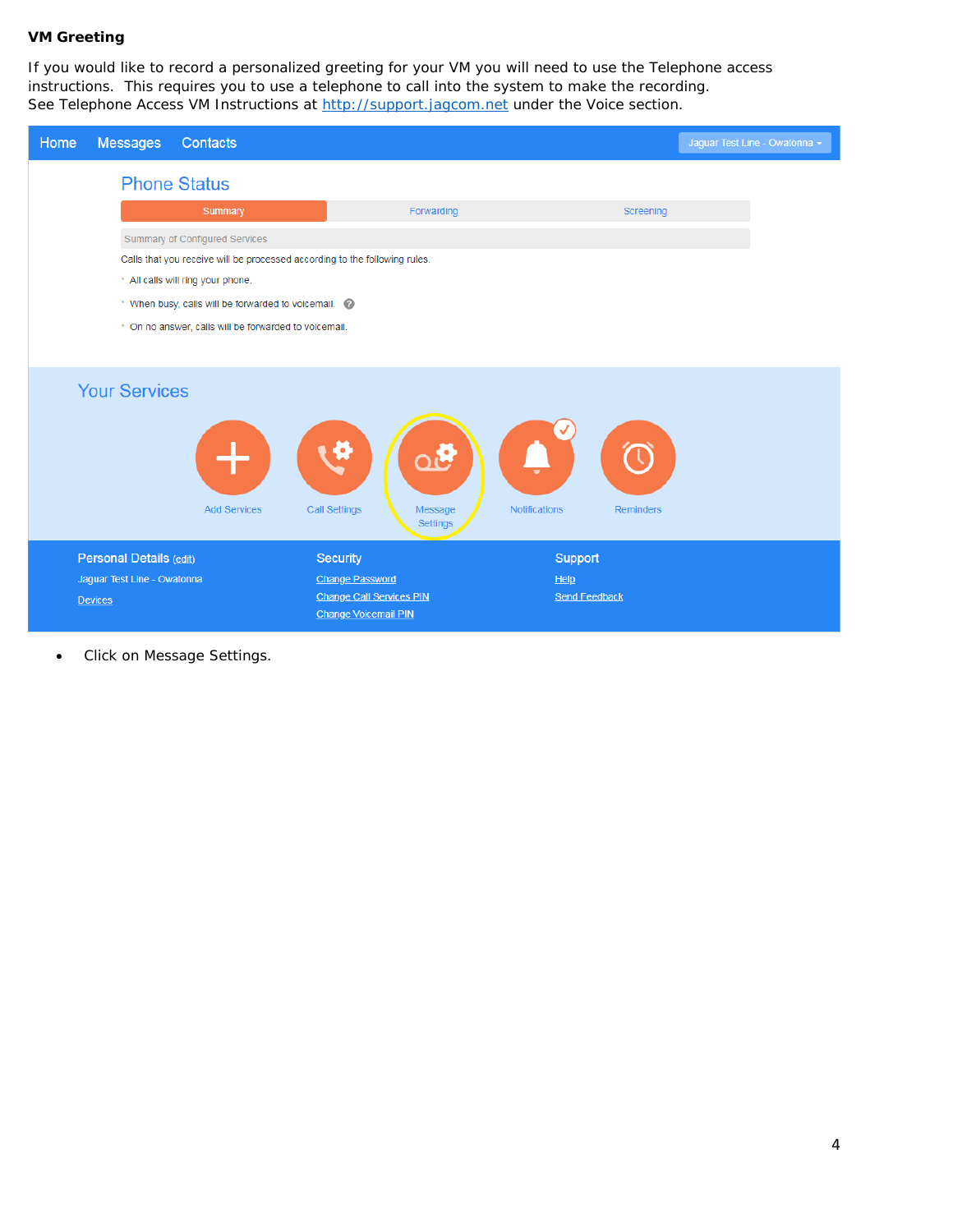## **VM Greeting**

If you would like to record a personalized greeting for your VM you will need to use the Telephone access instructions. This requires you to use a telephone to call into the system to make the recording. See Telephone Access VM Instructions at [http://support.jagcom.net](http://support.jagcom.net/) under the Voice section.

| Home<br><b>Messages</b>     | Contacts                                                                   |                                                                |                                          | Jaguar Test Line - Owatonna - |
|-----------------------------|----------------------------------------------------------------------------|----------------------------------------------------------------|------------------------------------------|-------------------------------|
| <b>Phone Status</b>         |                                                                            |                                                                |                                          |                               |
|                             | Summary                                                                    | Forwarding                                                     | Screening                                |                               |
|                             | Summary of Configured Services                                             |                                                                |                                          |                               |
|                             | Calls that you receive will be processed according to the following rules. |                                                                |                                          |                               |
|                             | * All calls will ring your phone.                                          |                                                                |                                          |                               |
|                             | * When busy, calls will be forwarded to voicemail.                         |                                                                |                                          |                               |
|                             | * On no answer, calls will be forwarded to voicemail.                      |                                                                |                                          |                               |
|                             |                                                                            |                                                                |                                          |                               |
| <b>Your Services</b>        | <b>Add Services</b>                                                        | e<br><b>Call Settings</b><br>Message<br><b>Settings</b>        | <b>Notifications</b><br><b>Reminders</b> |                               |
| Personal Details (edit)     |                                                                            | Security                                                       | Support                                  |                               |
| Jaguar Test Line - Owatonna |                                                                            | <b>Change Password</b>                                         | He<br><b>Send Feedback</b>               |                               |
| <b>Devices</b>              |                                                                            | <b>Change Call Services PIN</b><br><b>Change Voicemail PIN</b> |                                          |                               |

• Click on Message Settings.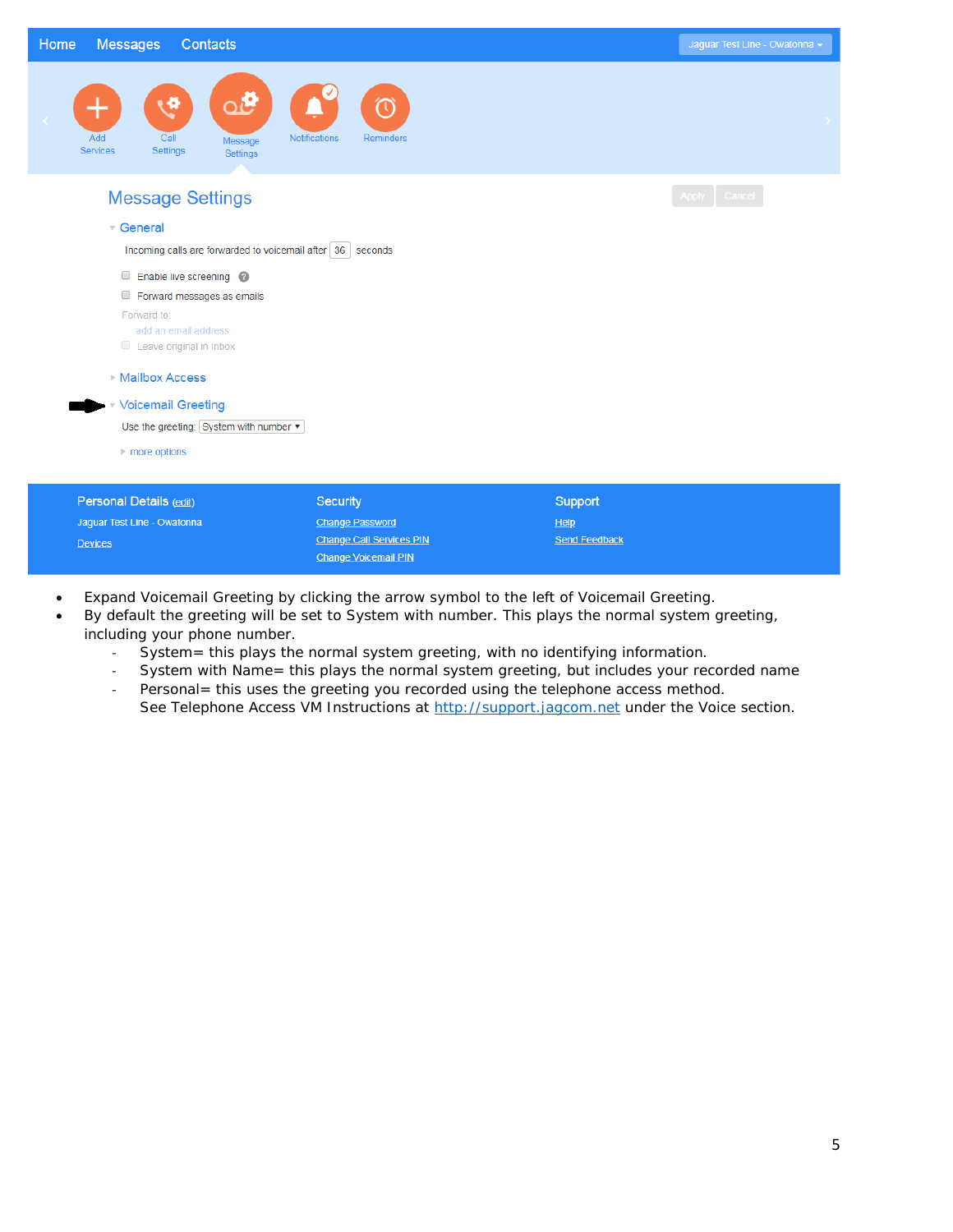| Home           | <b>Messages</b><br>Contacts                                                       |                                                  | Jaguar Test Line - Owatonna - |
|----------------|-----------------------------------------------------------------------------------|--------------------------------------------------|-------------------------------|
|                | ය්<br>Ð<br>╈<br>Add<br>Call<br>Message<br>Settings<br><b>Services</b><br>Settings | $\circledS$<br><b>Notifications</b><br>Reminders | $\rightarrow$                 |
|                | <b>Message Settings</b>                                                           |                                                  | Apply Cancel                  |
|                | $\sqrt{ }$ General                                                                |                                                  |                               |
|                | Incoming calls are forwarded to voicemail after 36 seconds                        |                                                  |                               |
|                | Enable live screening @                                                           |                                                  |                               |
|                | Forward messages as emails                                                        |                                                  |                               |
|                | Forward to:                                                                       |                                                  |                               |
|                | add an email address                                                              |                                                  |                               |
|                | Leave original in Inbox                                                           |                                                  |                               |
|                | ▶ Mailbox Access                                                                  |                                                  |                               |
|                | Voicemail Greeting                                                                |                                                  |                               |
|                | Use the greeting: System with number                                              |                                                  |                               |
|                | $\triangleright$ more options                                                     |                                                  |                               |
|                |                                                                                   |                                                  |                               |
|                | Personal Details (edit)                                                           | <b>Security</b>                                  | Support                       |
|                | Jaguar Test Line - Owatonna                                                       | <b>Change Password</b>                           | He                            |
| <b>Devices</b> |                                                                                   | <b>Change Call Services PIN</b>                  | <b>Send Feedback</b>          |

• Expand Voicemail Greeting by clicking the arrow symbol to the left of Voicemail Greeting.

Change Voicemail PIN

Devices

- By default the greeting will be set to System with number. This plays the normal system greeting, including your phone number.
	- System= this plays the normal system greeting, with no identifying information.
	- System with Name= this plays the normal system greeting, but includes your recorded name

**Send Feedback** 

- Personal = this uses the greeting you recorded using the telephone access method. See Telephone Access VM Instructions at [http://support.jagcom.net](http://support.jagcom.net/) under the Voice section.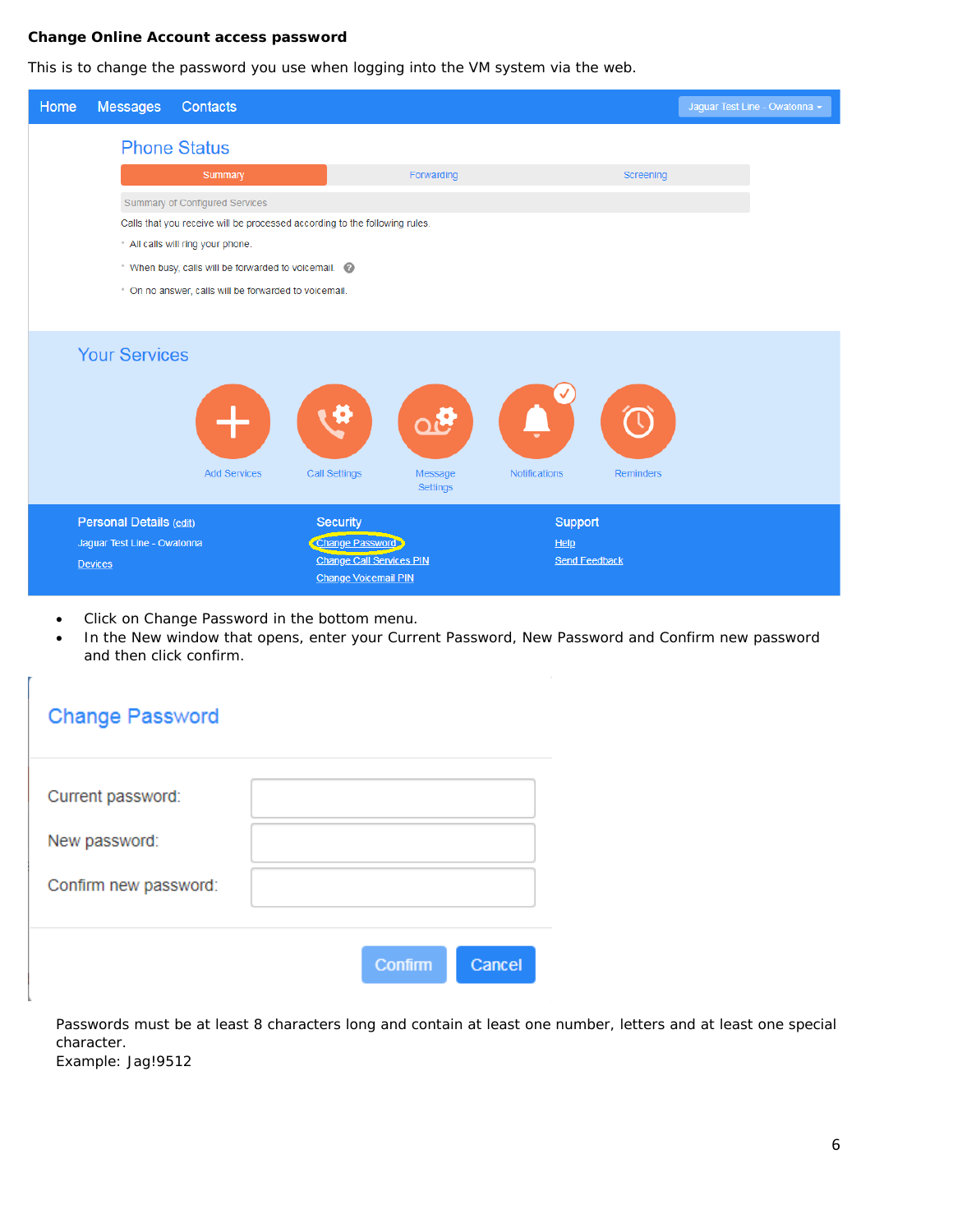### **Change Online Account access password**

This is to change the password you use when logging into the VM system via the web.

| Home | <b>Messages</b>             | Contacts                                                                   |                                                    |                                    |                            |                  | Jaguar Test Line - Owatonna - |
|------|-----------------------------|----------------------------------------------------------------------------|----------------------------------------------------|------------------------------------|----------------------------|------------------|-------------------------------|
|      |                             | <b>Phone Status</b>                                                        |                                                    |                                    |                            |                  |                               |
|      |                             | Summary                                                                    |                                                    | Forwarding                         |                            | Screening        |                               |
|      |                             | Summary of Configured Services                                             |                                                    |                                    |                            |                  |                               |
|      |                             | Calls that you receive will be processed according to the following rules. |                                                    |                                    |                            |                  |                               |
|      |                             | All calls will ring your phone.                                            |                                                    |                                    |                            |                  |                               |
|      |                             | "When busy, calls will be forwarded to voicemail.                          |                                                    |                                    |                            |                  |                               |
|      |                             | * On no answer, calls will be forwarded to voicemail.                      |                                                    |                                    |                            |                  |                               |
|      |                             |                                                                            |                                                    |                                    |                            |                  |                               |
|      | <b>Your Services</b>        | <b>Add Services</b>                                                        | <b>Call Settings</b>                               | olis<br>Message<br><b>Settings</b> | <b>Notifications</b>       | <b>Reminders</b> |                               |
|      | Personal Details (edit)     |                                                                            | <b>Security</b>                                    |                                    | Support                    |                  |                               |
|      | Jaguar Test Line - Owatonna |                                                                            | Change Password<br><b>Change Call Services PIN</b> |                                    | He<br><b>Send Feedback</b> |                  |                               |
|      | <b>Devices</b>              |                                                                            | <b>Change Voicemail PIN</b>                        |                                    |                            |                  |                               |

- Click on Change Password in the bottom menu.
- In the New window that opens, enter your Current Password, New Password and Confirm new password and then click confirm.

# **Change Password**

| Current password:     |                |        |
|-----------------------|----------------|--------|
| New password:         |                |        |
| Confirm new password: |                |        |
|                       |                |        |
|                       | <b>Confirm</b> | Cancel |

Passwords must be at least 8 characters long and contain at least one number, letters and at least one special character. Example: Jag!9512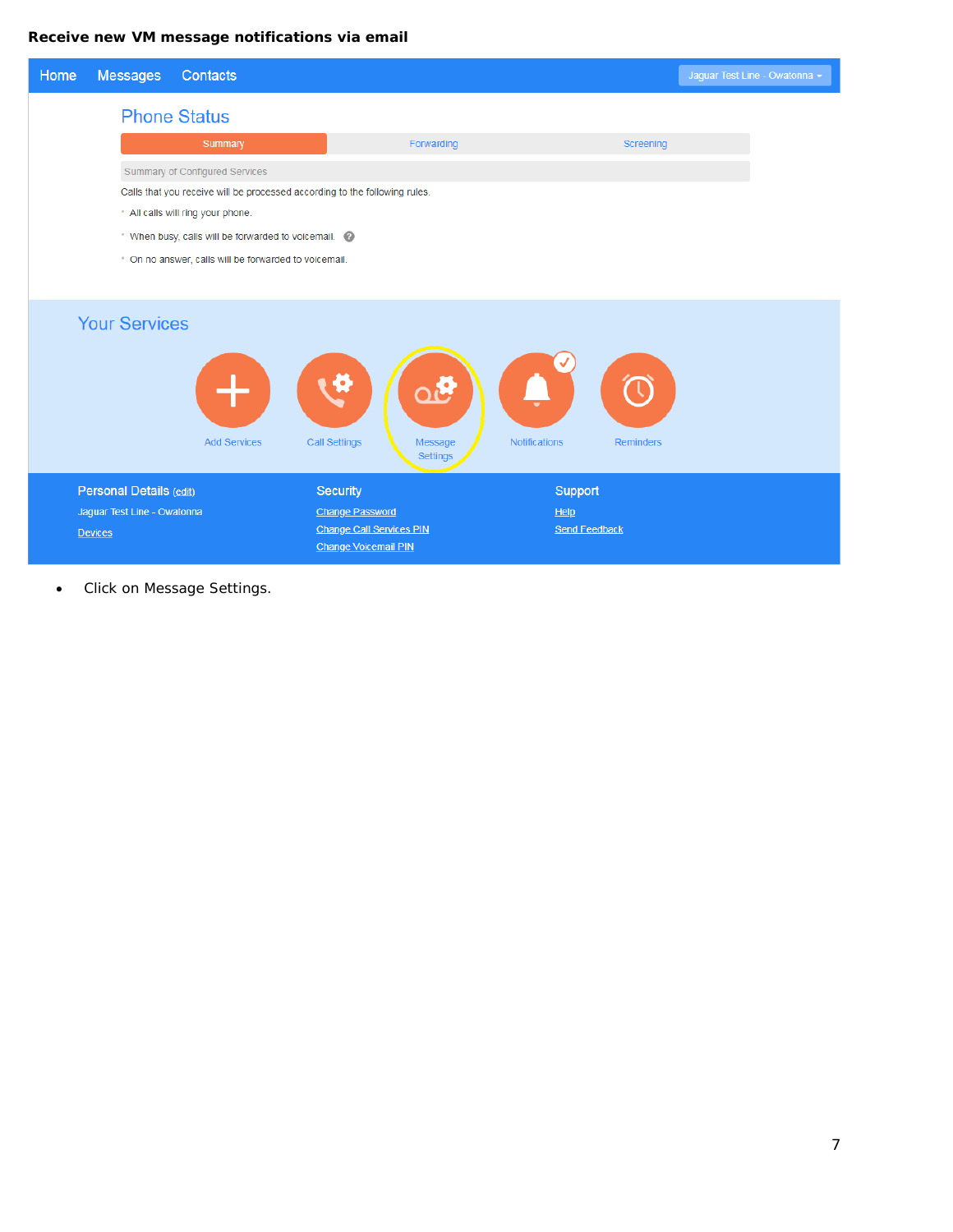## **Receive new VM message notifications via email**



• Click on Message Settings.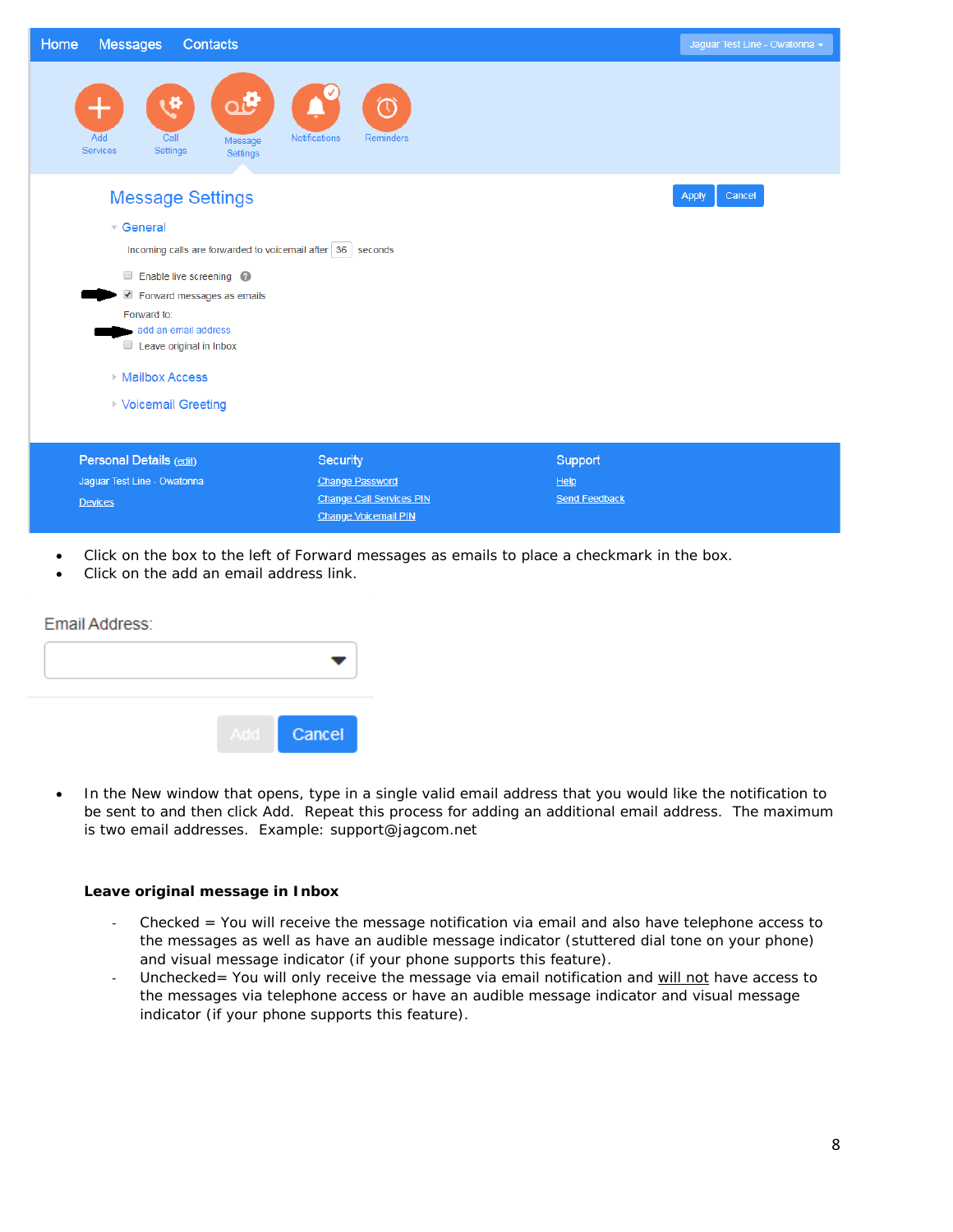| Home<br><b>Messages</b><br>Contacts                                                            |                                                                | Jaguar Test Line - Owatonna - |
|------------------------------------------------------------------------------------------------|----------------------------------------------------------------|-------------------------------|
| ഏ<br><b>A</b><br>┭<br>Add<br>Call<br>Message<br><b>Services</b><br>Settings<br><b>Settings</b> | $\odot$<br><b>Notifications</b><br>Reminders                   |                               |
| <b>Message Settings</b>                                                                        |                                                                | Cancel<br>Apply               |
| $\overline{\phantom{a}}$ General                                                               |                                                                |                               |
| Incoming calls are forwarded to voicemail after 36 seconds                                     |                                                                |                               |
| Enable live screening @                                                                        |                                                                |                               |
| Forward messages as emails                                                                     |                                                                |                               |
| Forward to:<br>add an email address                                                            |                                                                |                               |
| Leave original in Inbox                                                                        |                                                                |                               |
| <b>Mailbox Access</b>                                                                          |                                                                |                               |
| ▶ Voicemail Greeting                                                                           |                                                                |                               |
|                                                                                                |                                                                |                               |
| Personal Details (edit)                                                                        | <b>Security</b>                                                | Support                       |
| Jaguar Test Line - Owatonna                                                                    | <b>Change Password</b>                                         | He                            |
| <b>Devices</b>                                                                                 | <b>Change Call Services PIN</b><br><b>Change Voicemail PIN</b> | <b>Send Feedback</b>          |

- Click on the box to the left of Forward messages as emails to place a checkmark in the box.
- Click on the add an email address link.

| Email Address: |     |        |
|----------------|-----|--------|
|                |     |        |
|                |     |        |
|                | Add | Cancel |

• In the New window that opens, type in a single valid email address that you would like the notification to be sent to and then click Add. Repeat this process for adding an additional email address. The maximum is two email addresses. Example: support@jagcom.net

### **Leave original message in Inbox**

- Checked = You will receive the message notification via email and also have telephone access to the messages as well as have an audible message indicator (stuttered dial tone on your phone) and visual message indicator (if your phone supports this feature).
- Unchecked= You will only receive the message via email notification and *will not* have access to the messages via telephone access or have an audible message indicator and visual message indicator (if your phone supports this feature).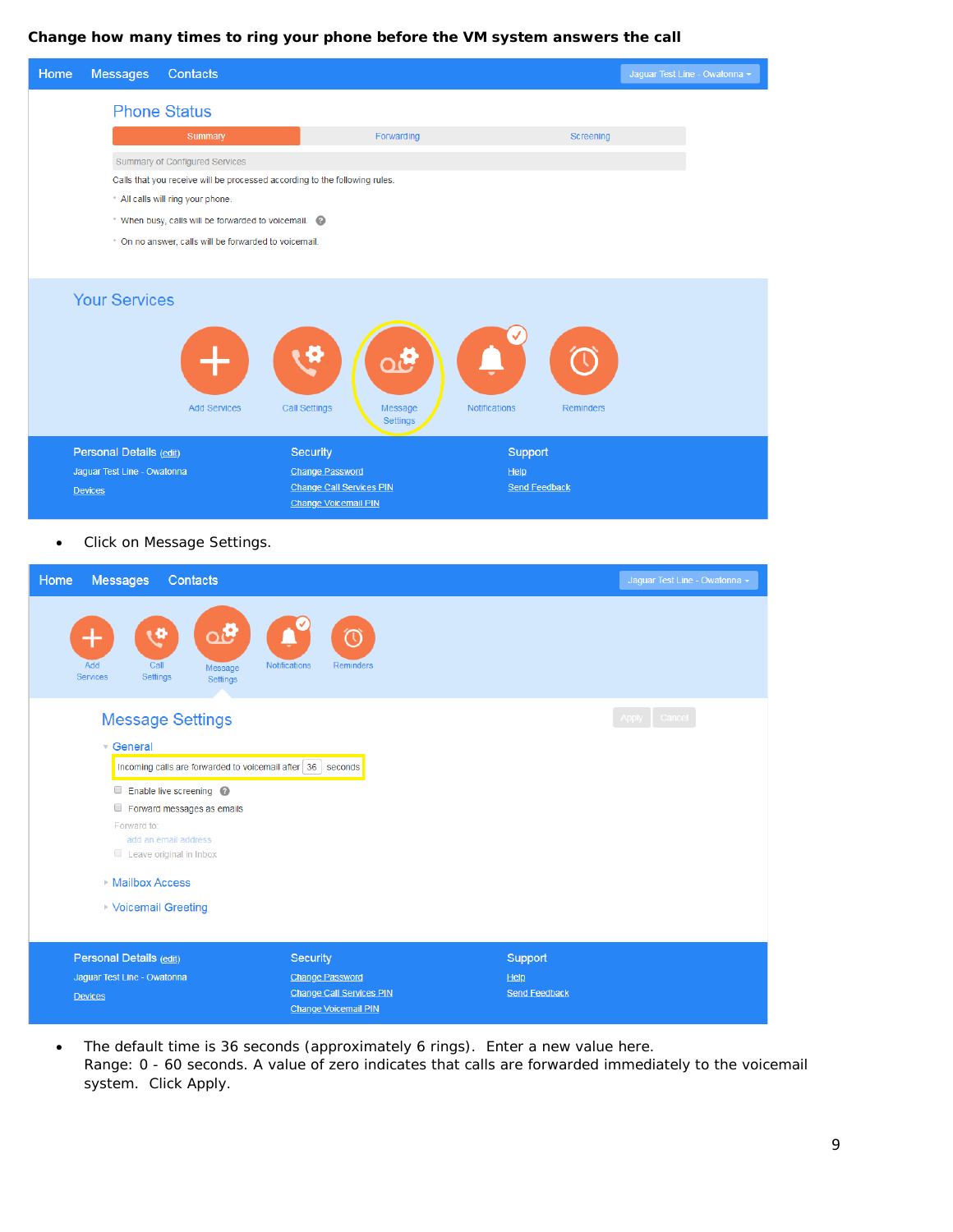### **Change how many times to ring your phone before the VM system answers the call**



| <b>Messages</b><br>Home<br><b>Contacts</b>                                                                                                  |                                                                         | Jaguar Test Line - Owatonna - |
|---------------------------------------------------------------------------------------------------------------------------------------------|-------------------------------------------------------------------------|-------------------------------|
| ය්<br>œ<br>Add<br>Call<br>Message<br><b>Services</b><br>Settings<br><b>Settings</b>                                                         | $\left(\mathfrak{t}\right)$<br><b>Notifications</b><br><b>Reminders</b> |                               |
| <b>Message Settings</b>                                                                                                                     |                                                                         | Apply Cancel                  |
| General                                                                                                                                     |                                                                         |                               |
| Incoming calls are forwarded to voicemail after 36 seconds                                                                                  |                                                                         |                               |
| Enable live screening @<br>Forward messages as emails<br>Forward to:<br>add an email address<br>Leave original in Inbox<br>▶ Mailbox Access |                                                                         |                               |
| ▶ Voicemail Greeting                                                                                                                        |                                                                         |                               |
|                                                                                                                                             |                                                                         |                               |
| Personal Details (edit)                                                                                                                     | Security                                                                | Support                       |
| Jaguar Test Line - Owatonna                                                                                                                 | <b>Change Password</b><br><b>Change Call Services PIN</b>               | He<br><b>Send Feedback</b>    |
| <b>Devices</b>                                                                                                                              | <b>Change Voicemail PIN</b>                                             |                               |

• The default time is 36 seconds (approximately 6 rings). Enter a new value here. Range: 0 - 60 seconds. A value of zero indicates that calls are forwarded immediately to the voicemail system. Click Apply.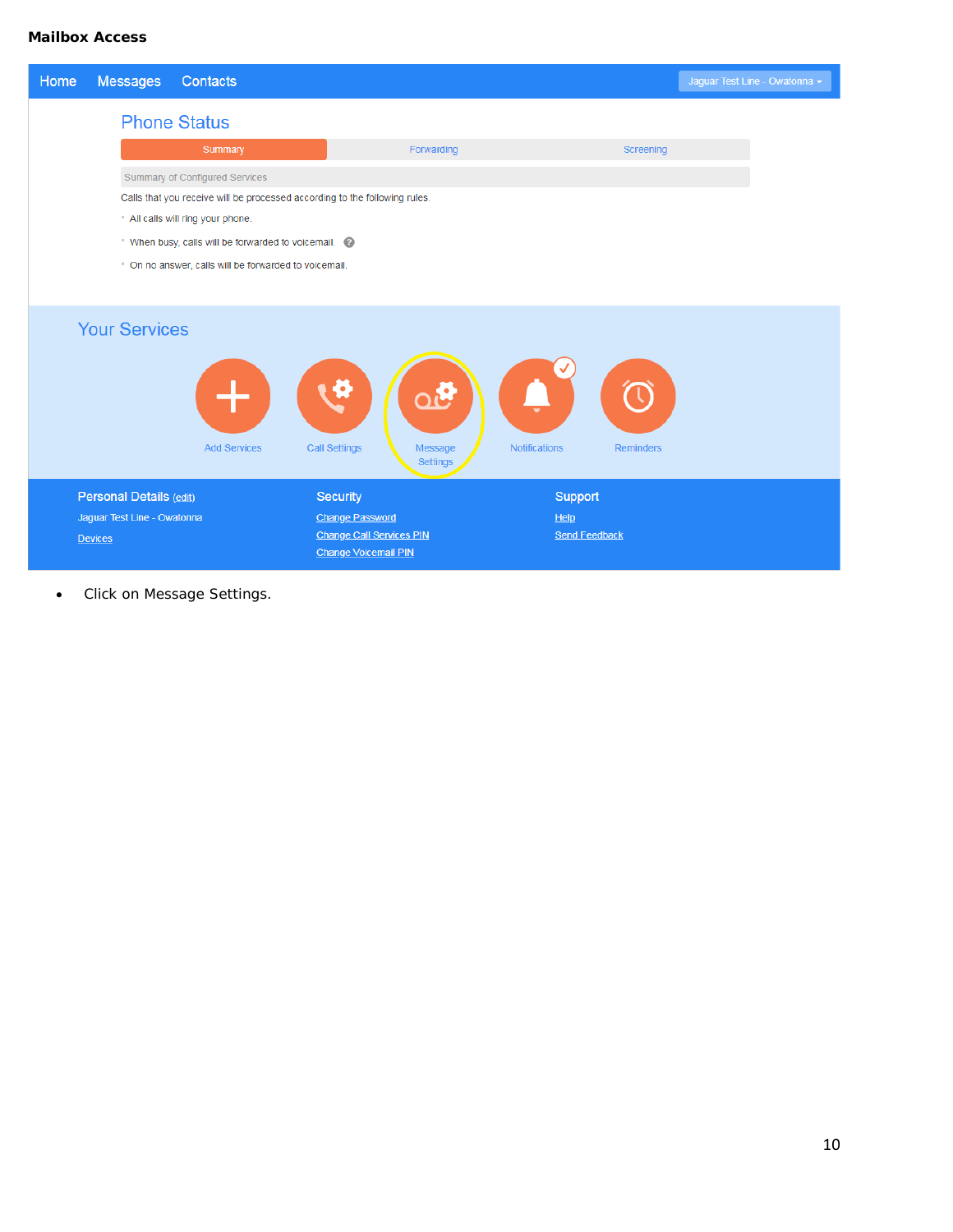### **Mailbox Access**

| Home           | <b>Messages</b>                                                            | Contacts                                              |                                                                |                                   | Jaguar Test Line - Owatonna - |  |  |
|----------------|----------------------------------------------------------------------------|-------------------------------------------------------|----------------------------------------------------------------|-----------------------------------|-------------------------------|--|--|
|                | <b>Phone Status</b>                                                        |                                                       |                                                                |                                   |                               |  |  |
|                |                                                                            | Summary                                               | Forwarding                                                     | Screening                         |                               |  |  |
|                |                                                                            | <b>Summary of Configured Services</b>                 |                                                                |                                   |                               |  |  |
|                | Calls that you receive will be processed according to the following rules. |                                                       |                                                                |                                   |                               |  |  |
|                | * All calls will ring your phone.                                          |                                                       |                                                                |                                   |                               |  |  |
|                | * When busy, calls will be forwarded to voicemail.                         |                                                       |                                                                |                                   |                               |  |  |
|                |                                                                            | * On no answer, calls will be forwarded to voicemail. |                                                                |                                   |                               |  |  |
|                |                                                                            |                                                       |                                                                |                                   |                               |  |  |
|                | <b>Your Services</b>                                                       | <b>Add Services</b>                                   | ×<br>k<br><b>Call Settings</b><br>Message<br>Settings          | <b>Notifications</b><br>Reminders |                               |  |  |
|                | Personal Details (edit)                                                    |                                                       | <b>Security</b>                                                | Support                           |                               |  |  |
|                | Jaguar Test Line - Owatonna                                                |                                                       | <b>Change Password</b>                                         | He                                |                               |  |  |
| <b>Devices</b> |                                                                            |                                                       | <b>Change Call Services PIN</b><br><b>Change Voicemail PIN</b> | <b>Send Feedback</b>              |                               |  |  |

• Click on Message Settings.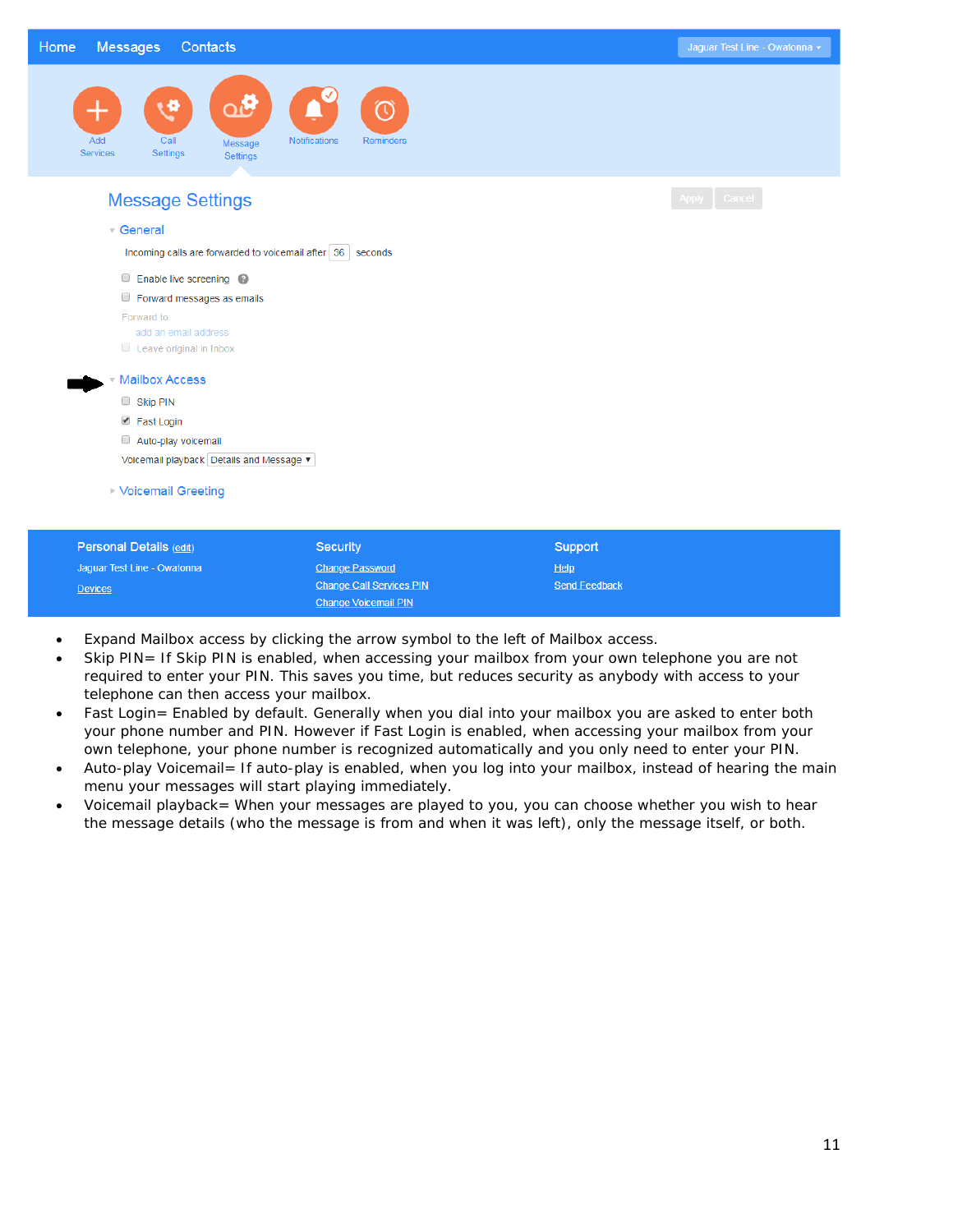| Home<br><b>Messages</b><br>Contacts                                                |                                                  | Jaguar Test Line - Owatonna - |
|------------------------------------------------------------------------------------|--------------------------------------------------|-------------------------------|
| Qι<br>رہ<br>╅<br>Add<br>Call<br>Message<br>Settings<br><b>Services</b><br>Settings | $\mathbb O$<br><b>Notifications</b><br>Reminders |                               |
| <b>Message Settings</b>                                                            |                                                  | Apply Cancel                  |
| $\sqrt{ }$ General                                                                 |                                                  |                               |
| Incoming calls are forwarded to voicemail after 36                                 | seconds                                          |                               |
| Enable live screening @                                                            |                                                  |                               |
| Forward messages as emails                                                         |                                                  |                               |
| Forward to:                                                                        |                                                  |                               |
| add an email address                                                               |                                                  |                               |
| Leave original in Inbox                                                            |                                                  |                               |
| <b>Mailbox Access</b>                                                              |                                                  |                               |
| Skip PIN                                                                           |                                                  |                               |
| ■ Fast Login                                                                       |                                                  |                               |
| Auto-play voicemail                                                                |                                                  |                               |
| Voicemail playback Details and Message                                             |                                                  |                               |
| <b>Voicemail Greeting</b>                                                          |                                                  |                               |
| Personal Details (edit)                                                            | Security                                         | Support                       |
| Jaguar Test Line - Owatonna                                                        | <b>Change Password</b>                           | Help                          |

• Expand Mailbox access by clicking the arrow symbol to the left of Mailbox access.

Devices

**Change Call Services PIN** 

Change Voicemail PIN

Skip PIN= If Skip PIN is enabled, when accessing your mailbox from your own telephone you are not required to enter your PIN. This saves you time, but reduces security as anybody with access to your telephone can then access your mailbox.

**Send Feedback** 

- Fast Login= Enabled by default. Generally when you dial into your mailbox you are asked to enter both your phone number and PIN. However if Fast Login is enabled, when accessing your mailbox from your own telephone, your phone number is recognized automatically and you only need to enter your PIN.
- Auto-play Voicemail= If auto-play is enabled, when you log into your mailbox, instead of hearing the main menu your messages will start playing immediately.
- Voicemail playback= When your messages are played to you, you can choose whether you wish to hear the message details (who the message is from and when it was left), only the message itself, or both.